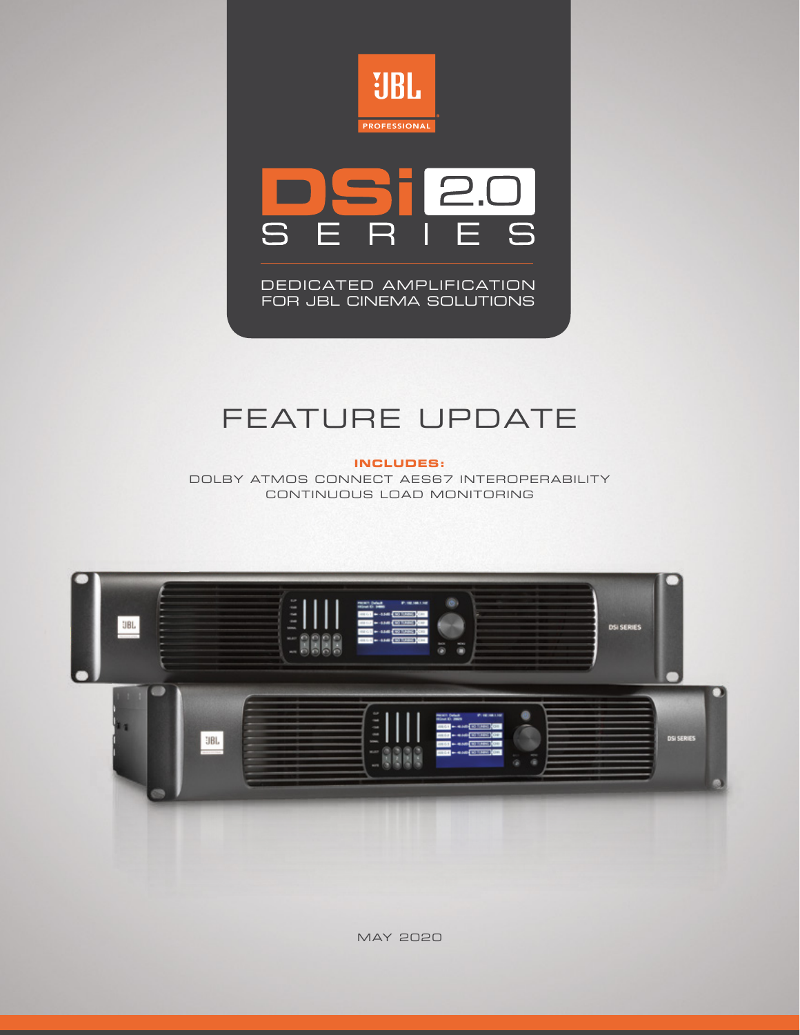



DEDICATED AMPLIFICATION FOR JBL CINEMA SOLUTIONS

# FEATURE UPDATE

**INCLUDES:**

DOLBY ATMOS CONNECT AES67 INTEROPERABILITY CONTINUOUS LOAD MONITORING



MAY 2020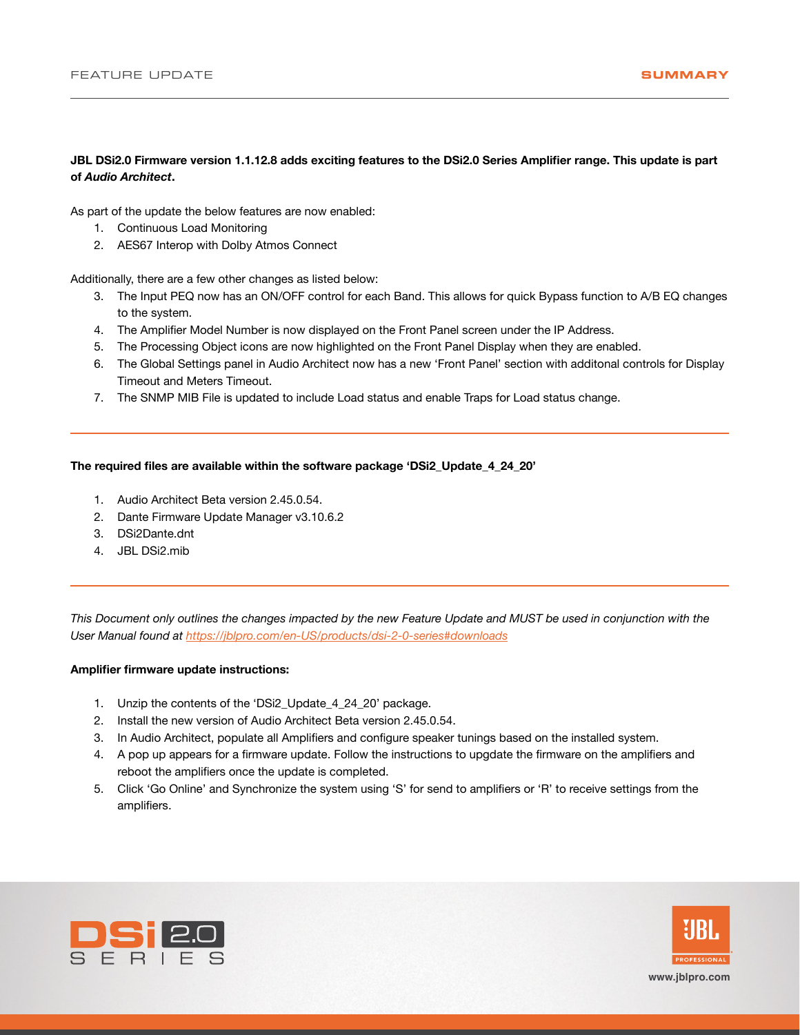## **JBL DSi2.0 Firmware version 1.1.12.8 adds exciting features to the DSi2.0 Series Amplifier range. This update is part of** *Audio Architect***.**

As part of the update the below features are now enabled:

- 1. Continuous Load Monitoring
- 2. AES67 Interop with Dolby Atmos Connect

Additionally, there are a few other changes as listed below:

- 3. The Input PEQ now has an ON/OFF control for each Band. This allows for quick Bypass function to A/B EQ changes to the system.
- 4. The Amplifier Model Number is now displayed on the Front Panel screen under the IP Address.
- 5. The Processing Object icons are now highlighted on the Front Panel Display when they are enabled.
- 6. The Global Settings panel in Audio Architect now has a new 'Front Panel' section with additonal controls for Display Timeout and Meters Timeout.
- 7. The SNMP MIB File is updated to include Load status and enable Traps for Load status change.

## **The required files are available within the software package 'DSi2\_Update\_4\_24\_20'**

- 1. Audio Architect Beta version 2.45.0.54.
- 2. Dante Firmware Update Manager v3.10.6.2
- 3. DSi2Dante.dnt
- 4. JBL DSi2.mib

*This Document only outlines the changes impacted by the new Feature Update and MUST be used in conjunction with the User Manual found at https://jblpro.com/en-US/products/dsi-2-0-series#downloads*

### **Amplifier firmware update instructions:**

- 1. Unzip the contents of the 'DSi2 Update 4 24 20' package.
- 2. Install the new version of Audio Architect Beta version 2.45.0.54.
- 3. In Audio Architect, populate all Amplifiers and configure speaker tunings based on the installed system.
- 4. A pop up appears for a firmware update. Follow the instructions to upgdate the firmware on the amplifiers and reboot the amplifiers once the update is completed.
- 5. Click 'Go Online' and Synchronize the system using 'S' for send to amplifiers or 'R' to receive settings from the amplifiers.



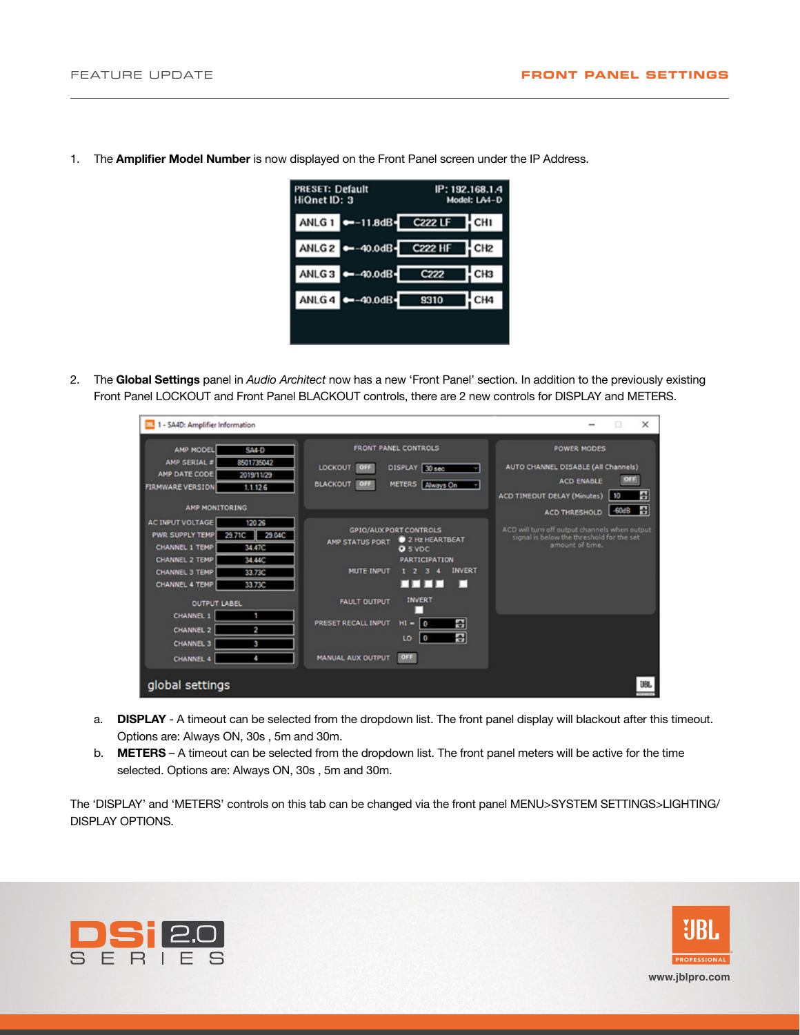- **PRESET: Default** IP: 192.168.1.4 HiQnet ID: 3 Model: LA4-D ANLG 1 -- 11.8dB-C222 LF ¦ CHI **C222 HF** ANLG<sub>2</sub>C 40.0dB-CH<sub>2</sub> ANLG<sub>3</sub>C -40.0dB-C222 CH<sub>3</sub> ANLG<sub>4</sub>C  $-40.0dB -$ 9310 CH<sub>4</sub>
- 1. The **Amplifier Model Number** is now displayed on the Front Panel screen under the IP Address.

2. The **Global Settings** panel in *Audio Architect* now has a new 'Front Panel' section. In addition to the previously existing Front Panel LOCKOUT and Front Panel BLACKOUT controls, there are 2 new controls for DISPLAY and METERS.

| 1 - SA4D: Amplifier Information                                                                                                                                                                                                           |                                                                                                                                                                                                                | $\times$<br>o                                                                                                                                        |
|-------------------------------------------------------------------------------------------------------------------------------------------------------------------------------------------------------------------------------------------|----------------------------------------------------------------------------------------------------------------------------------------------------------------------------------------------------------------|------------------------------------------------------------------------------------------------------------------------------------------------------|
| AMP MODEL<br><b>SA4-D</b><br>AMP SERIAL =<br>8501735042<br>AMP DATE CODE<br>2019/11/29<br><b>FIRMWARE VERSION</b><br>1.1.126<br><b>AMP MONITORING</b>                                                                                     | FRONT PANEL CONTROLS<br>DISPLAY 30 sec<br>LOCKOUT<br><b>OFF</b><br><b>BLACKOUT</b><br><b>METERS</b> Always On<br>OFF                                                                                           | <b>POWER MODES</b><br>AUTO CHANNEL DISABLE (All Channels)<br>OFF<br><b>ACD ENABLE</b><br>吾<br><b>ACD TIMEOUT DELAY (Minutes)</b><br>10<br>꽆<br>-60dB |
| <b>AC INPUT VOLTAGE</b><br>120.26<br>29.71C<br><b>PWR SUPPLY TEMP</b><br>29.04C<br>CHANNEL 1 TEMP<br>34.47C<br><b>CHANNEL 2 TEMP</b><br>34.44C<br><b>CHANNEL 3 TEMP</b><br>3373C<br><b>CHANNEL 4 TEMP</b><br>3373C<br><b>OUTPUT LABEL</b> | <b>GPIO/AUX PORT CONTROLS</b><br>2 Hz HEARTBEAT<br><b>AMP STATUS PORT</b><br><b>D</b> 5 VDC<br><b>PARTICIPATION</b><br><b>INVERT</b><br><b>MUTE INPUT</b><br>гггп<br>п<br><b>INVERT</b><br><b>FAULT OUTPUT</b> | <b>ACD THRESHOLD</b><br>ACD will turn off output channels when output<br>signal is below the threshold for the set<br>amount of time.                |
| <b>CHANNEL 1</b><br>2<br><b>CHANNEL 2</b><br><b>CHANNEL 3</b><br>з<br>A.<br><b>CHANNEL 4</b><br>global settings                                                                                                                           | る<br>PRESET RECALL INPUT<br>$HI =$<br>ه ا<br>골<br>LO<br>O<br>OFF<br><b>MANUAL AUX OUTPUT</b>                                                                                                                   | UBL                                                                                                                                                  |

- a. **DISPLAY** A timeout can be selected from the dropdown list. The front panel display will blackout after this timeout. Options are: Always ON, 30s , 5m and 30m.
- b. **METERS** A timeout can be selected from the dropdown list. The front panel meters will be active for the time selected. Options are: Always ON, 30s , 5m and 30m.

The 'DISPLAY' and 'METERS' controls on this tab can be changed via the front panel MENU>SYSTEM SETTINGS>LIGHTING/ DISPLAY OPTIONS.



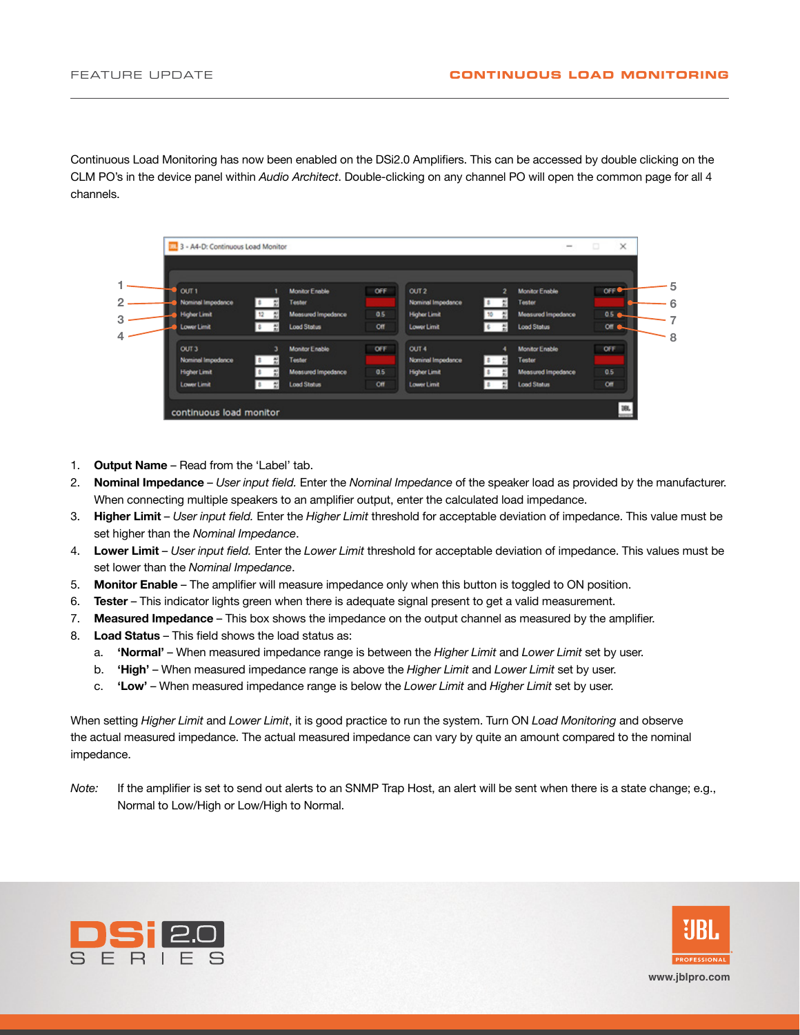Continuous Load Monitoring has now been enabled on the DSi2.0 Amplifiers. This can be accessed by double clicking on the CLM PO's in the device panel within *Audio Architect*. Double-clicking on any channel PO will open the common page for all 4 channels.

| OUT <sub>1</sub>    |   | <b>Monitor Enable</b>     | OFF | OUT2                | $\overline{2}$ | <b>Monitor Enable</b>     | OFF <sup></sup> |
|---------------------|---|---------------------------|-----|---------------------|----------------|---------------------------|-----------------|
| Nominal Impedance   |   | Tentor                    |     | Nominal Impedance   |                | Tester                    |                 |
| <b>Higher Limit</b> |   | <b>Measured Impedance</b> | 0.5 | <b>Higher Limit</b> | 칖              | <b>Measured Impedance</b> | 0.5             |
| Lower Limit         |   | <b>Load Status</b>        | Off | Lower Limit         | 칐              | <b>Load Status</b>        | on e-           |
| OUT <sub>3</sub>    | э | <b>Monitor Enable</b>     | OFF | OUT 4               | A              | <b>Monitor Enable</b>     | OFF             |
| Nominal Impedance   | 븬 | Tester                    |     | Nominal Impedance   |                | Tester                    |                 |
| <b>Higher Limit</b> |   | <b>Measured Impedance</b> | 0.5 | <b>Higher Limit</b> |                | Measured Impedance        | 0.5             |
| <b>Lower Limit</b>  | 图 | <b>Load Status</b>        | Off | <b>Lower Limit</b>  |                | <b>Load Status</b>        | C               |

- 1. **Output Name** Read from the 'Label' tab.
- 2. **Nominal Impedance** *User input field.* Enter the *Nominal Impedance* of the speaker load as provided by the manufacturer. When connecting multiple speakers to an amplifier output, enter the calculated load impedance.
- 3. **Higher Limit** *User input field.* Enter the *Higher Limit* threshold for acceptable deviation of impedance. This value must be set higher than the *Nominal Impedance*.
- 4. **Lower Limit** *User input field.* Enter the *Lower Limit* threshold for acceptable deviation of impedance. This values must be set lower than the *Nominal Impedance*.
- 5. **Monitor Enable** The amplifier will measure impedance only when this button is toggled to ON position.
- 6. **Tester** This indicator lights green when there is adequate signal present to get a valid measurement.
- 7. **Measured Impedance** This box shows the impedance on the output channel as measured by the amplifier.
- 8. **Load Status** This field shows the load status as:
	- a. **'Normal'** When measured impedance range is between the *Higher Limit* and *Lower Limit* set by user.
	- b. **'High'** When measured impedance range is above the *Higher Limit* and *Lower Limit* set by user.
	- c. **'Low'** When measured impedance range is below the *Lower Limit* and *Higher Limit* set by user.

When setting *Higher Limit* and *Lower Limit*, it is good practice to run the system. Turn ON *Load Monitoring* and observe the actual measured impedance. The actual measured impedance can vary by quite an amount compared to the nominal impedance.

*Note:* If the amplifier is set to send out alerts to an SNMP Trap Host, an alert will be sent when there is a state change; e.g., Normal to Low/High or Low/High to Normal.





**www.jblpro.com**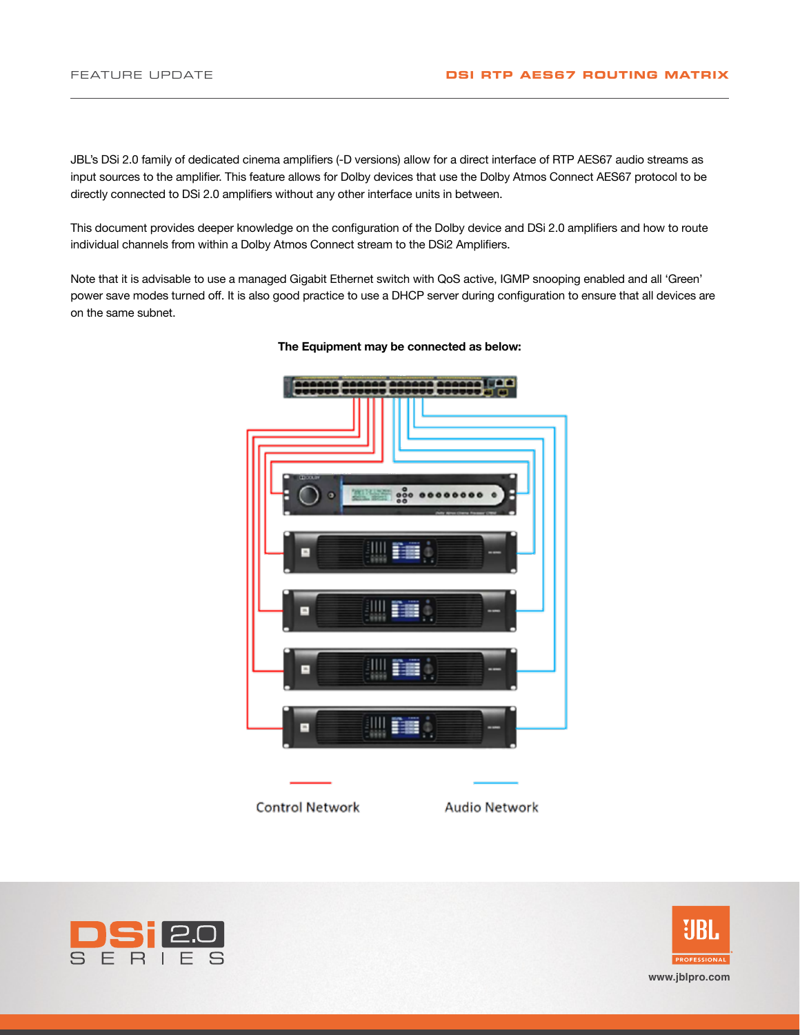JBL's DSi 2.0 family of dedicated cinema amplifiers (-D versions) allow for a direct interface of RTP AES67 audio streams as input sources to the amplifier. This feature allows for Dolby devices that use the Dolby Atmos Connect AES67 protocol to be directly connected to DSi 2.0 amplifiers without any other interface units in between.

This document provides deeper knowledge on the configuration of the Dolby device and DSi 2.0 amplifiers and how to route individual channels from within a Dolby Atmos Connect stream to the DSi2 Amplifiers.

Note that it is advisable to use a managed Gigabit Ethernet switch with QoS active, IGMP snooping enabled and all 'Green' power save modes turned off. It is also good practice to use a DHCP server during configuration to ensure that all devices are on the same subnet.



#### **The Equipment may be connected as below:**



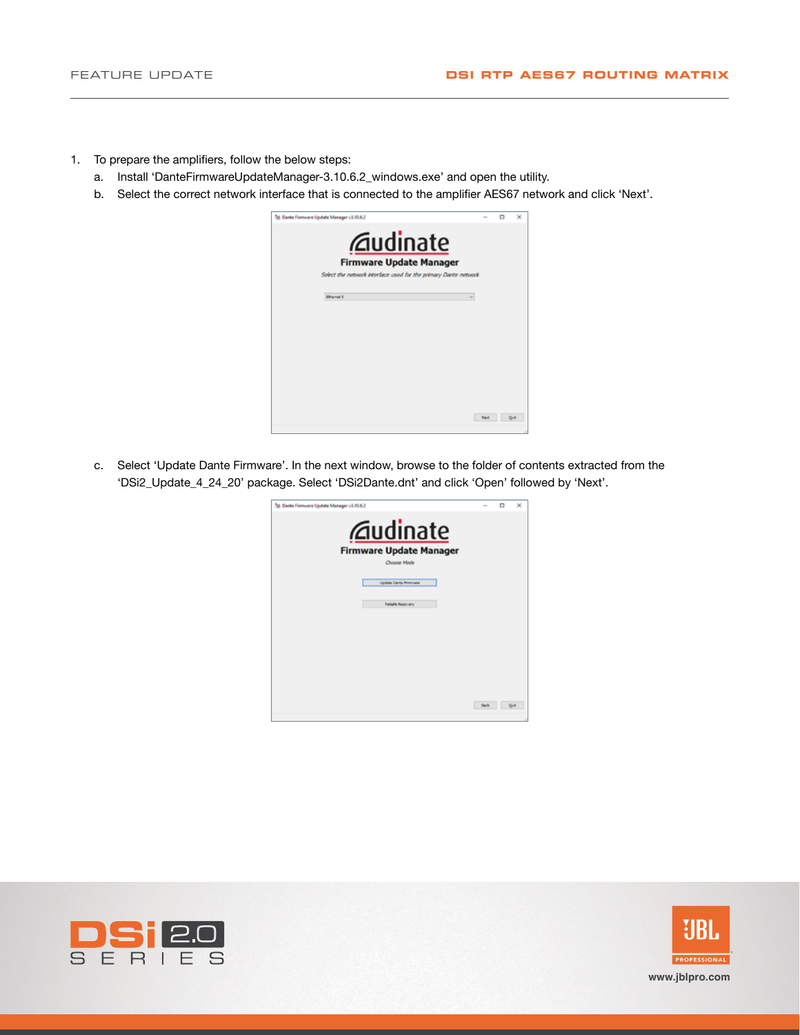- 1. To prepare the amplifiers, follow the below steps:
	- a. Install 'DanteFirmwareUpdateManager-3.10.6.2\_windows.exe' and open the utility.
	- b. Select the correct network interface that is connected to the amplifier AES67 network and click 'Next'.



c. Select 'Update Dante Firmware'. In the next window, browse to the folder of contents extracted from the 'DSi2\_Update\_4\_24\_20' package. Select 'DSi2Dante.dnt' and click 'Open' followed by 'Next'.





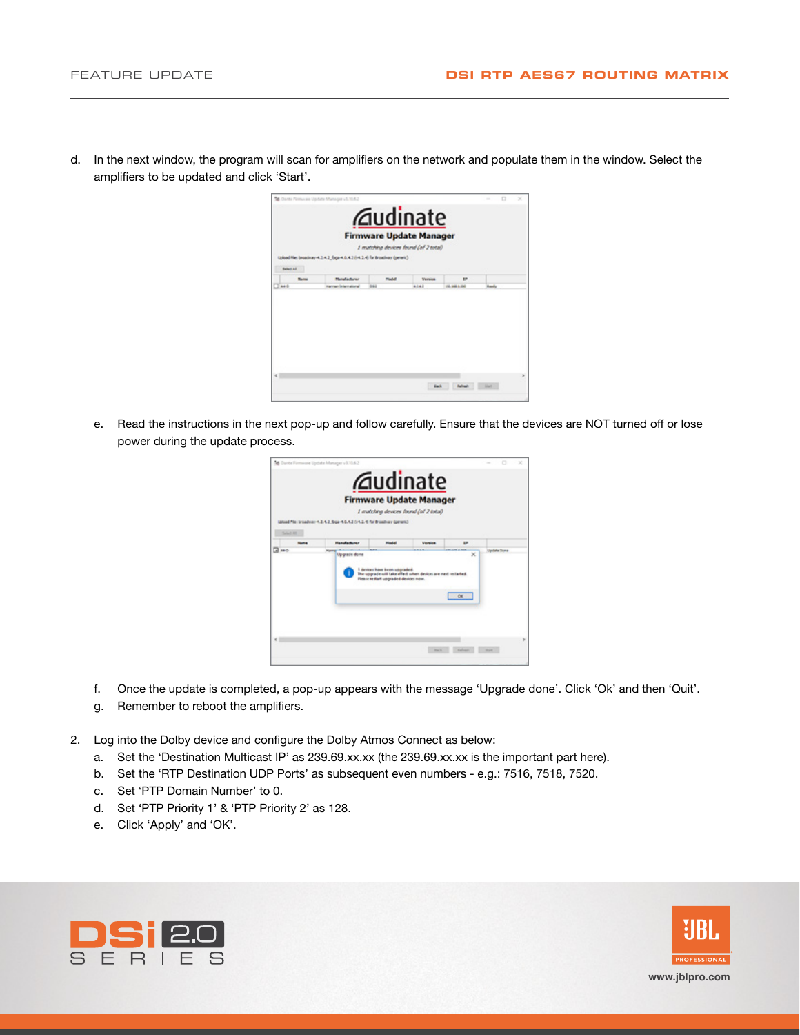

d. In the next window, the program will scan for amplifiers on the network and populate them in the window. Select the amplifiers to be updated and click 'Start'.

e. Read the instructions in the next pop-up and follow carefully. Ensure that the devices are NOT turned off or lose power during the update process.



- f. Once the update is completed, a pop-up appears with the message 'Upgrade done'. Click 'Ok' and then 'Quit'.
- g. Remember to reboot the amplifiers.
- 2. Log into the Dolby device and configure the Dolby Atmos Connect as below:
	- a. Set the 'Destination Multicast IP' as 239.69.xx.xx (the 239.69.xx.xx is the important part here).
	- b. Set the 'RTP Destination UDP Ports' as subsequent even numbers e.g.: 7516, 7518, 7520.
	- c. Set 'PTP Domain Number' to 0.
	- d. Set 'PTP Priority 1' & 'PTP Priority 2' as 128.
	- e. Click 'Apply' and 'OK'.



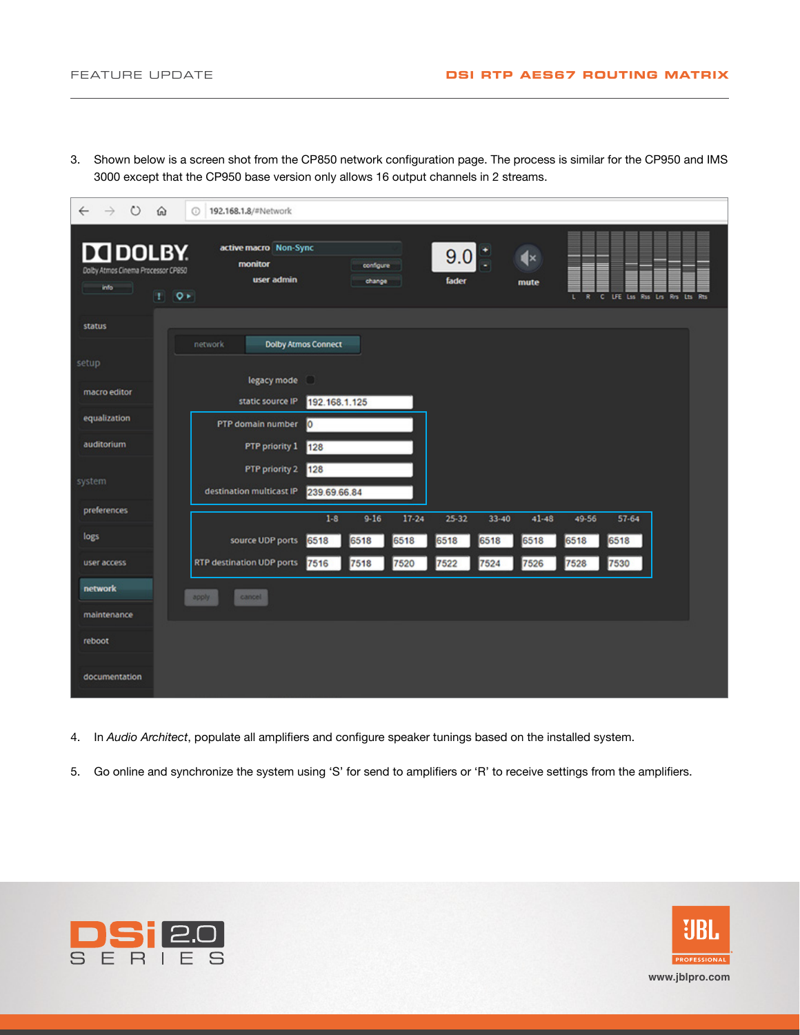3. Shown below is a screen shot from the CP850 network configuration page. The process is similar for the CP950 and IMS 3000 except that the CP950 base version only allows 16 output channels in 2 streams.

| ಲ<br>$\rightarrow$<br>⋒<br>$\leftarrow$                               | 192.168.1.8/#Network<br>$\odot$                                |                     |                    |                        |                                         |  |
|-----------------------------------------------------------------------|----------------------------------------------------------------|---------------------|--------------------|------------------------|-----------------------------------------|--|
| <b>IN DOLBY.</b><br>Dolby Atmos Cinema Processor CP850<br>info<br>- 1 | active macro Non-Sync<br>monitor<br>user admin<br>$1 \times 2$ | configure<br>change | 9.0<br>fader       | $\mathbf{d}$ ×<br>mute | C LFE Lss Rss Lrs Rrs Lts Rts<br>R<br>υ |  |
| status                                                                | <b>Dolby Atmos Connect</b><br>network                          |                     |                    |                        |                                         |  |
| setup                                                                 |                                                                |                     |                    |                        |                                         |  |
| macro editor                                                          | legacy mode<br>static source IP                                | O<br>192.168.1.125  |                    |                        |                                         |  |
| equalization                                                          | PTP domain number                                              | <b>O</b>            |                    |                        |                                         |  |
| auditorium                                                            | PTP priority 1                                                 | 128                 |                    |                        |                                         |  |
| system                                                                | PTP priority 2<br>destination multicast IP                     | 128<br>239.69.66.84 |                    |                        |                                         |  |
| preferences                                                           |                                                                | $1-8$<br>$9 - 16$   | $17 - 24$<br>25-32 | $33 - 40$<br>$41 - 48$ | 49-56<br>57-64                          |  |
| logs                                                                  | source UDP ports                                               | 6518<br>6518        | 6518<br>6518       | 6518<br>6518           | 6518<br>6518                            |  |
| user access                                                           | RTP destination UDP ports                                      | 7516<br>7518        | 7520<br>7522       | 7524<br>7526           | 7530<br>7528                            |  |
| network                                                               | cancel<br>apply                                                |                     |                    |                        |                                         |  |
| maintenance                                                           |                                                                |                     |                    |                        |                                         |  |
| reboot                                                                |                                                                |                     |                    |                        |                                         |  |
| documentation                                                         |                                                                |                     |                    |                        |                                         |  |

- 4. In *Audio Architect*, populate all amplifiers and configure speaker tunings based on the installed system.
- 5. Go online and synchronize the system using 'S' for send to amplifiers or 'R' to receive settings from the amplifiers.



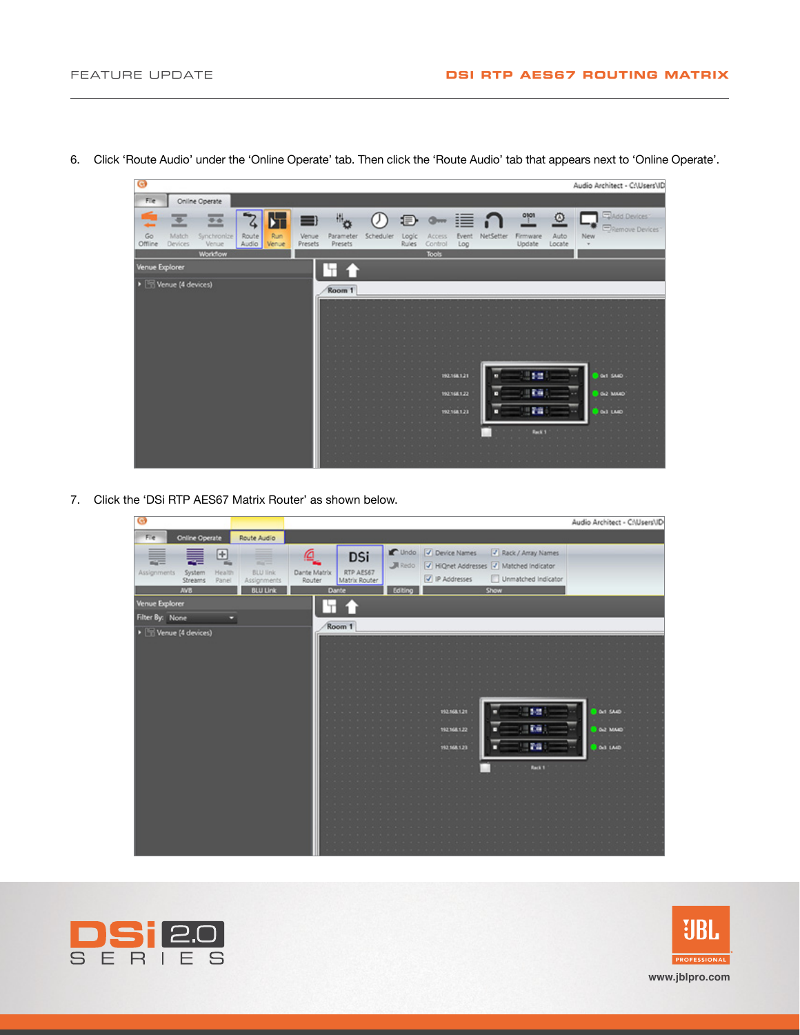

6. Click 'Route Audio' under the 'Online Operate' tab. Then click the 'Route Audio' tab that appears next to 'Online Operate'.

7. Click the 'DSi RTP AES67 Matrix Router' as shown below.

| ◉                                                                    |                                                                  |                              |                                                          |                                |                                           |                                                                                             | Audio Architect - C:\Users\ID                           |
|----------------------------------------------------------------------|------------------------------------------------------------------|------------------------------|----------------------------------------------------------|--------------------------------|-------------------------------------------|---------------------------------------------------------------------------------------------|---------------------------------------------------------|
| <b>Online Operate</b><br>Fie                                         | Route Audio                                                      |                              |                                                          |                                |                                           |                                                                                             |                                                         |
| 믹<br>₹<br>Assignments<br>Health<br>System<br>Streams<br>Panel<br>AVB | $m_{\rm H}$<br><b>BLU link</b><br>Assignments<br><b>BLU Link</b> | ١a<br>Dante Matrix<br>Router | <b>DSi</b><br>RTP AES67<br>Matrix Router<br><b>Dante</b> | $\blacksquare$ Redo<br>Editing | Undo V Device Names<br>P Addresses        | / Rack / Array Names<br>HiQnet Addresses J Matched Indicator<br>Unmatched Indicator<br>Show |                                                         |
| Venue Explorer                                                       |                                                                  | н                            |                                                          |                                |                                           |                                                                                             |                                                         |
| Filter By: None                                                      |                                                                  |                              |                                                          |                                |                                           |                                                                                             |                                                         |
| > Venue (4 devices)                                                  |                                                                  |                              | Room 1                                                   |                                | 192.168.1.21<br>192168122<br>192,168.1.23 | 三下层<br>信頼<br>1129<br>Rack <sub>1</sub>                                                      | <b>Bill</b> SAAD<br><b>BOLZ MAKE</b><br><b>DIA LAKE</b> |